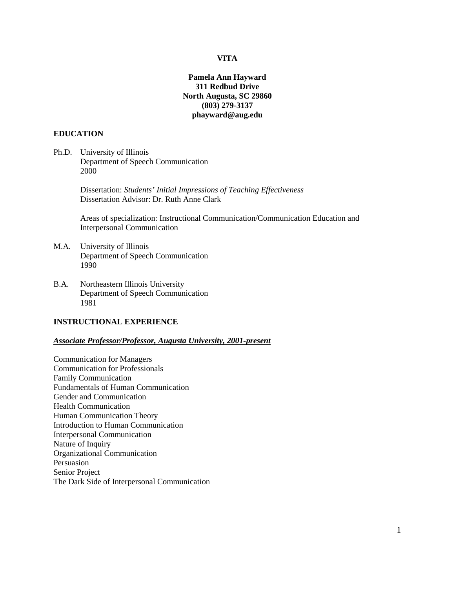## **VITA**

# **Pamela Ann Hayward 311 Redbud Drive North Augusta, SC 29860 (803) 279-3137 phayward@aug.edu**

#### **EDUCATION**

Ph.D. University of Illinois Department of Speech Communication 2000

> Dissertation: *Students' Initial Impressions of Teaching Effectiveness* Dissertation Advisor: Dr. Ruth Anne Clark

Areas of specialization: Instructional Communication/Communication Education and Interpersonal Communication

- M.A. University of Illinois Department of Speech Communication 1990
- B.A. Northeastern Illinois University Department of Speech Communication 1981

#### **INSTRUCTIONAL EXPERIENCE**

#### *Associate Professor/Professor, Augusta University, 2001-present*

Communication for Managers Communication for Professionals Family Communication Fundamentals of Human Communication Gender and Communication Health Communication Human Communication Theory Introduction to Human Communication Interpersonal Communication Nature of Inquiry Organizational Communication Persuasion Senior Project The Dark Side of Interpersonal Communication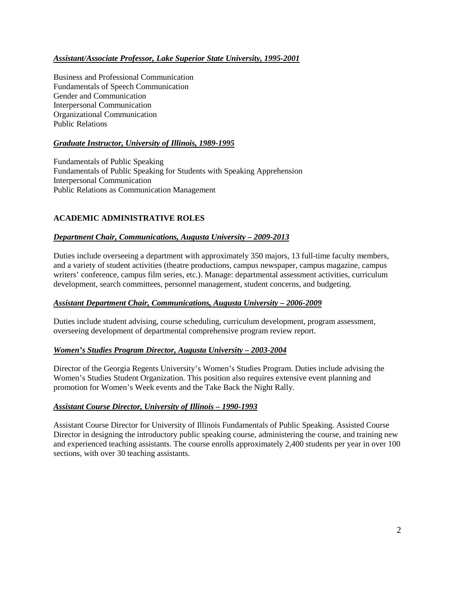# *Assistant/Associate Professor, Lake Superior State University, 1995-2001*

Business and Professional Communication Fundamentals of Speech Communication Gender and Communication Interpersonal Communication Organizational Communication Public Relations

# *Graduate Instructor, University of Illinois, 1989-1995*

Fundamentals of Public Speaking Fundamentals of Public Speaking for Students with Speaking Apprehension Interpersonal Communication Public Relations as Communication Management

# **ACADEMIC ADMINISTRATIVE ROLES**

# *Department Chair, Communications, Augusta University – 2009-2013*

Duties include overseeing a department with approximately 350 majors, 13 full-time faculty members, and a variety of student activities (theatre productions, campus newspaper, campus magazine, campus writers' conference, campus film series, etc.). Manage: departmental assessment activities, curriculum development, search committees, personnel management, student concerns, and budgeting.

## *Assistant Department Chair, Communications, Augusta University – 2006-2009*

Duties include student advising, course scheduling, curriculum development, program assessment, overseeing development of departmental comprehensive program review report.

## *Women's Studies Program Director, Augusta University – 2003-2004*

Director of the Georgia Regents University's Women's Studies Program. Duties include advising the Women's Studies Student Organization. This position also requires extensive event planning and promotion for Women's Week events and the Take Back the Night Rally.

## *Assistant Course Director, University of Illinois – 1990-1993*

Assistant Course Director for University of Illinois Fundamentals of Public Speaking. Assisted Course Director in designing the introductory public speaking course, administering the course, and training new and experienced teaching assistants. The course enrolls approximately 2,400 students per year in over 100 sections, with over 30 teaching assistants.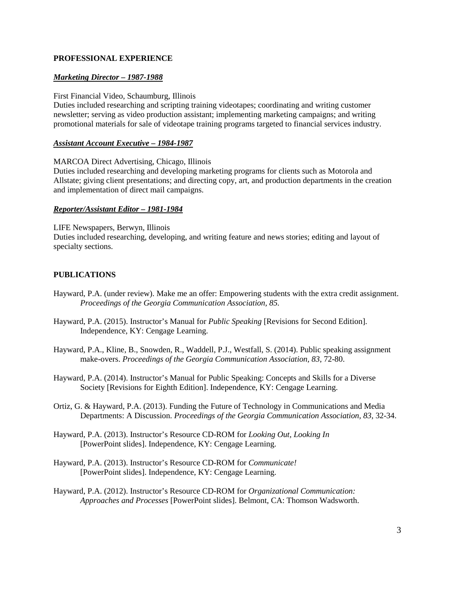# **PROFESSIONAL EXPERIENCE**

# *Marketing Director – 1987-1988*

First Financial Video, Schaumburg, Illinois

Duties included researching and scripting training videotapes; coordinating and writing customer newsletter; serving as video production assistant; implementing marketing campaigns; and writing promotional materials for sale of videotape training programs targeted to financial services industry.

## *Assistant Account Executive – 1984-1987*

MARCOA Direct Advertising, Chicago, Illinois

Duties included researching and developing marketing programs for clients such as Motorola and Allstate; giving client presentations; and directing copy, art, and production departments in the creation and implementation of direct mail campaigns.

### *Reporter/Assistant Editor – 1981-1984*

LIFE Newspapers, Berwyn, Illinois Duties included researching, developing, and writing feature and news stories; editing and layout of specialty sections.

# **PUBLICATIONS**

- Hayward, P.A. (under review). Make me an offer: Empowering students with the extra credit assignment. *Proceedings of the Georgia Communication Association, 85.*
- Hayward, P.A. (2015). Instructor's Manual for *Public Speaking* [Revisions for Second Edition]. Independence, KY: Cengage Learning.
- Hayward, P.A., Kline, B., Snowden, R., Waddell, P.J., Westfall, S. (2014). Public speaking assignment make-overs. *Proceedings of the Georgia Communication Association, 83*, 72-80.
- Hayward, P.A. (2014). Instructor's Manual for Public Speaking: Concepts and Skills for a Diverse Society [Revisions for Eighth Edition]. Independence, KY: Cengage Learning.
- Ortiz, G. & Hayward, P.A. (2013). Funding the Future of Technology in Communications and Media Departments: A Discussion. *Proceedings of the Georgia Communication Association, 83*, 32-34.
- Hayward, P.A. (2013). Instructor's Resource CD-ROM for *Looking Out, Looking In* [PowerPoint slides]. Independence, KY: Cengage Learning.
- Hayward, P.A. (2013). Instructor's Resource CD-ROM for *Communicate!* [PowerPoint slides]. Independence, KY: Cengage Learning.
- Hayward, P.A. (2012). Instructor's Resource CD-ROM for *Organizational Communication: Approaches and Processes* [PowerPoint slides]. Belmont, CA: Thomson Wadsworth.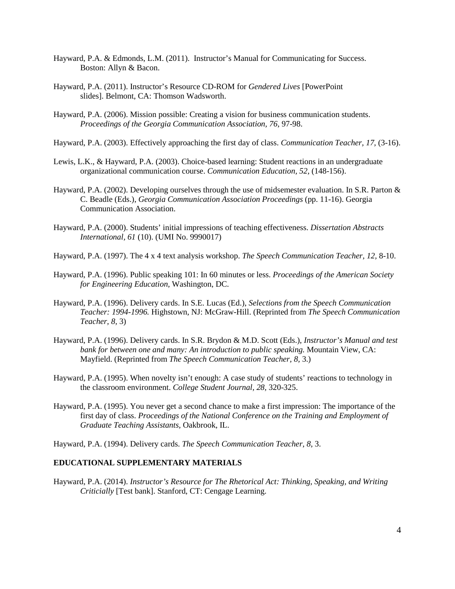- Hayward, P.A. & Edmonds, L.M. (2011). Instructor's Manual for Communicating for Success. Boston: Allyn & Bacon.
- Hayward, P.A. (2011). Instructor's Resource CD-ROM for *Gendered Lives* [PowerPoint slides]. Belmont, CA: Thomson Wadsworth.
- Hayward, P.A. (2006). Mission possible: Creating a vision for business communication students. *Proceedings of the Georgia Communication Association, 76*, 97-98.
- Hayward, P.A. (2003). Effectively approaching the first day of class. *Communication Teacher, 17,* (3-16).
- Lewis, L.K., & Hayward, P.A. (2003). Choice-based learning: Student reactions in an undergraduate organizational communication course. *Communication Education, 52,* (148-156).
- Hayward, P.A. (2002). Developing ourselves through the use of midsemester evaluation. In S.R. Parton & C. Beadle (Eds.), *Georgia Communication Association Proceedings* (pp. 11-16). Georgia Communication Association.
- Hayward, P.A. (2000). Students' initial impressions of teaching effectiveness. *Dissertation Abstracts International, 61* (10). (UMI No. 9990017)
- Hayward, P.A. (1997). The 4 x 4 text analysis workshop. *The Speech Communication Teacher, 12,* 8-10.
- Hayward, P.A. (1996). Public speaking 101: In 60 minutes or less. *Proceedings of the American Society for Engineering Education,* Washington, DC.
- Hayward, P.A. (1996). Delivery cards. In S.E. Lucas (Ed.), *Selections from the Speech Communication Teacher: 1994-1996.* Highstown, NJ: McGraw-Hill. (Reprinted from *The Speech Communication Teacher, 8,* 3)
- Hayward, P.A. (1996). Delivery cards. In S.R. Brydon & M.D. Scott (Eds.), *Instructor's Manual and test bank for between one and many: An introduction to public speaking.* Mountain View, CA: Mayfield. (Reprinted from *The Speech Communication Teacher, 8,* 3.)
- Hayward, P.A. (1995). When novelty isn't enough: A case study of students' reactions to technology in the classroom environment. *College Student Journal, 28,* 320-325.
- Hayward, P.A. (1995). You never get a second chance to make a first impression: The importance of the first day of class. *Proceedings of the National Conference on the Training and Employment of Graduate Teaching Assistants,* Oakbrook, IL.
- Hayward, P.A. (1994). Delivery cards. *The Speech Communication Teacher, 8,* 3.

## **EDUCATIONAL SUPPLEMENTARY MATERIALS**

Hayward, P.A. (2014). *Instructor's Resource for The Rhetorical Act: Thinking, Speaking, and Writing Criticially* [Test bank]. Stanford, CT: Cengage Learning.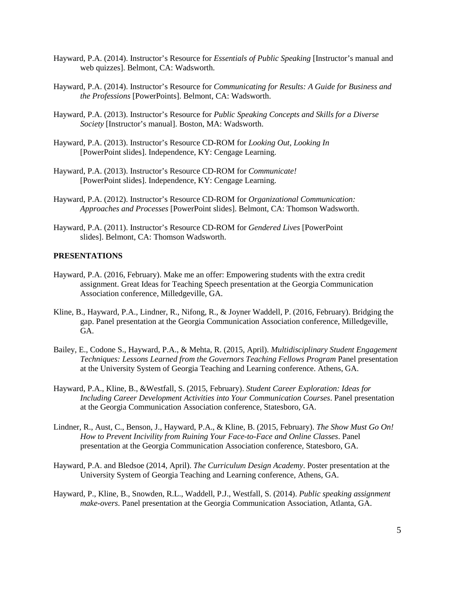- Hayward, P.A. (2014). Instructor's Resource for *Essentials of Public Speaking* [Instructor's manual and web quizzes]. Belmont, CA: Wadsworth.
- Hayward, P.A. (2014). Instructor's Resource for *Communicating for Results: A Guide for Business and the Professions* [PowerPoints]. Belmont, CA: Wadsworth.
- Hayward, P.A. (2013). Instructor's Resource for *Public Speaking Concepts and Skills for a Diverse Society* [Instructor's manual]. Boston, MA: Wadsworth.
- Hayward, P.A. (2013). Instructor's Resource CD-ROM for *Looking Out, Looking In* [PowerPoint slides]. Independence, KY: Cengage Learning.
- Hayward, P.A. (2013). Instructor's Resource CD-ROM for *Communicate!* [PowerPoint slides]. Independence, KY: Cengage Learning.
- Hayward, P.A. (2012). Instructor's Resource CD-ROM for *Organizational Communication: Approaches and Processes* [PowerPoint slides]. Belmont, CA: Thomson Wadsworth.
- Hayward, P.A. (2011). Instructor's Resource CD-ROM for *Gendered Lives* [PowerPoint slides]. Belmont, CA: Thomson Wadsworth.

#### **PRESENTATIONS**

- Hayward, P.A. (2016, February). Make me an offer: Empowering students with the extra credit assignment. Great Ideas for Teaching Speech presentation at the Georgia Communication Association conference, Milledgeville, GA.
- Kline, B., Hayward, P.A., Lindner, R., Nifong, R., & Joyner Waddell, P. (2016, February). Bridging the gap. Panel presentation at the Georgia Communication Association conference, Milledgeville, GA.
- Bailey, E., Codone S., Hayward, P.A., & Mehta, R. (2015, April). *Multidisciplinary Student Engagement Techniques: Lessons Learned from the Governors Teaching Fellows Program* Panel presentation at the University System of Georgia Teaching and Learning conference. Athens, GA.
- Hayward, P.A., Kline, B., &Westfall, S. (2015, February). *Student Career Exploration: Ideas for Including Career Development Activities into Your Communication Courses*. Panel presentation at the Georgia Communication Association conference, Statesboro, GA.
- Lindner, R., Aust, C., Benson, J., Hayward, P.A., & Kline, B. (2015, February). *The Show Must Go On! How to Prevent Incivility from Ruining Your Face-to-Face and Online Classes*. Panel presentation at the Georgia Communication Association conference, Statesboro, GA.
- Hayward, P.A. and Bledsoe (2014, April). *The Curriculum Design Academy*. Poster presentation at the University System of Georgia Teaching and Learning conference, Athens, GA.
- Hayward, P., Kline, B., Snowden, R.L., Waddell, P.J., Westfall, S. (2014). *Public speaking assignment make-overs*. Panel presentation at the Georgia Communication Association, Atlanta, GA.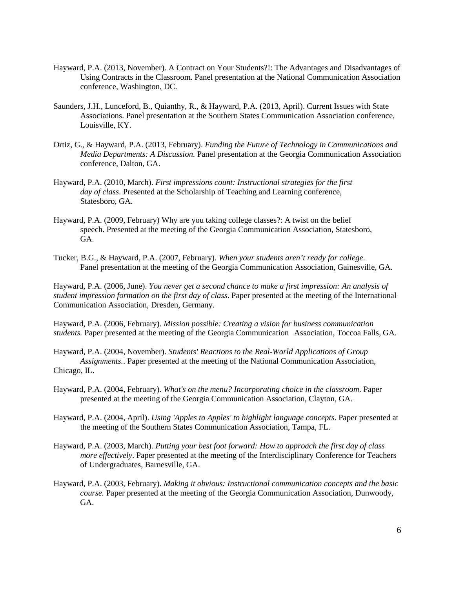- Hayward, P.A. (2013, November). A Contract on Your Students?!: The Advantages and Disadvantages of Using Contracts in the Classroom. Panel presentation at the National Communication Association conference, Washington, DC.
- Saunders, J.H., Lunceford, B., Quianthy, R., & Hayward, P.A. (2013, April). Current Issues with State Associations. Panel presentation at the Southern States Communication Association conference, Louisville, KY.
- Ortiz, G., & Hayward, P.A. (2013, February). *Funding the Future of Technology in Communications and Media Departments: A Discussion.* Panel presentation at the Georgia Communication Association conference, Dalton, GA.
- Hayward, P.A. (2010, March). *First impressions count: Instructional strategies for the first day of class*. Presented at the Scholarship of Teaching and Learning conference, Statesboro, GA.
- Hayward, P.A. (2009, February) Why are you taking college classes?: A twist on the belief speech. Presented at the meeting of the Georgia Communication Association, Statesboro, GA.
- Tucker, B.G., & Hayward, P.A. (2007, February). *When your students aren't ready for college*. Panel presentation at the meeting of the Georgia Communication Association, Gainesville, GA.

Hayward, P.A. (2006, June). *You never get a second chance to make a first impression: An analysis of student impression formation on the first day of class*. Paper presented at the meeting of the International Communication Association, Dresden, Germany.

Hayward, P.A. (2006, February). *Mission possible: Creating a vision for business communication students.* Paper presented at the meeting of the Georgia Communication Association, Toccoa Falls, GA.

Hayward, P.A. (2004, November). *Students' Reactions to the Real-World Applications of Group Assignments.*. Paper presented at the meeting of the National Communication Association, Chicago, IL.

- Hayward, P.A. (2004, February). *What's on the menu? Incorporating choice in the classroom*. Paper presented at the meeting of the Georgia Communication Association, Clayton, GA.
- Hayward, P.A. (2004, April). *Using 'Apples to Apples' to highlight language concepts*. Paper presented at the meeting of the Southern States Communication Association, Tampa, FL.
- Hayward, P.A. (2003, March). *Putting your best foot forward: How to approach the first day of class more effectively*. Paper presented at the meeting of the Interdisciplinary Conference for Teachers of Undergraduates, Barnesville, GA.
- Hayward, P.A. (2003, February). *Making it obvious: Instructional communication concepts and the basic course.* Paper presented at the meeting of the Georgia Communication Association, Dunwoody, GA.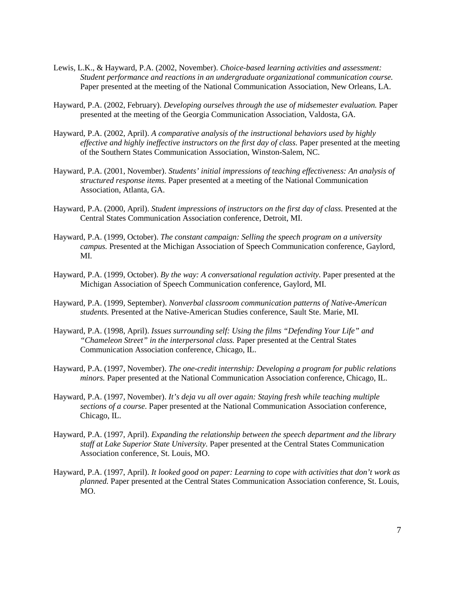- Lewis, L.K., & Hayward, P.A. (2002, November). *Choice-based learning activities and assessment: Student performance and reactions in an undergraduate organizational communication course.* Paper presented at the meeting of the National Communication Association, New Orleans, LA.
- Hayward, P.A. (2002, February). *Developing ourselves through the use of midsemester evaluation.* Paper presented at the meeting of the Georgia Communication Association, Valdosta, GA.
- Hayward, P.A. (2002, April). *A comparative analysis of the instructional behaviors used by highly effective and highly ineffective instructors on the first day of class.* Paper presented at the meeting of the Southern States Communication Association, Winston-Salem, NC.
- Hayward, P.A. (2001, November). *Students' initial impressions of teaching effectiveness: An analysis of structured response items.* Paper presented at a meeting of the National Communication Association, Atlanta, GA.
- Hayward, P.A. (2000, April). *Student impressions of instructors on the first day of class.* Presented at the Central States Communication Association conference, Detroit, MI.
- Hayward, P.A. (1999, October). *The constant campaign: Selling the speech program on a university campus.* Presented at the Michigan Association of Speech Communication conference, Gaylord, MI.
- Hayward, P.A. (1999, October). *By the way: A conversational regulation activity.* Paper presented at the Michigan Association of Speech Communication conference, Gaylord, MI.
- Hayward, P.A. (1999, September). *Nonverbal classroom communication patterns of Native-American students.* Presented at the Native-American Studies conference, Sault Ste. Marie, MI.
- Hayward, P.A. (1998, April). *Issues surrounding self: Using the films "Defending Your Life" and "Chameleon Street" in the interpersonal class.* Paper presented at the Central States Communication Association conference, Chicago, IL.
- Hayward, P.A. (1997, November). *The one-credit internship: Developing a program for public relations minors.* Paper presented at the National Communication Association conference, Chicago, IL.
- Hayward, P.A. (1997, November). *It's deja vu all over again: Staying fresh while teaching multiple sections of a course.* Paper presented at the National Communication Association conference, Chicago, IL.
- Hayward, P.A. (1997, April). *Expanding the relationship between the speech department and the library staff at Lake Superior State University.* Paper presented at the Central States Communication Association conference, St. Louis, MO.
- Hayward, P.A. (1997, April). *It looked good on paper: Learning to cope with activities that don't work as planned.* Paper presented at the Central States Communication Association conference, St. Louis, MO.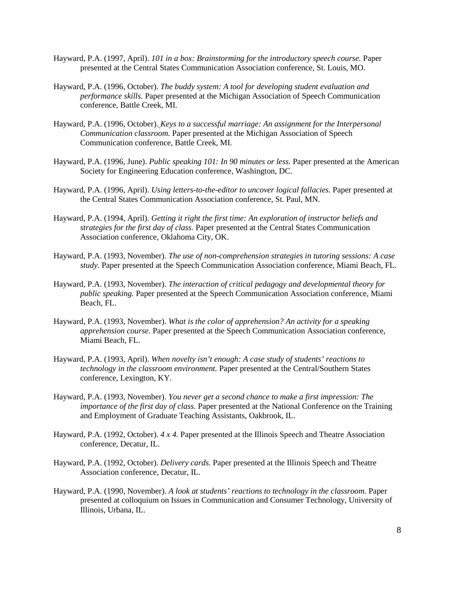- Hayward, P.A. (1997, April). *101 in a box: Brainstorming for the introductory speech course.* Paper presented at the Central States Communication Association conference, St. Louis, MO.
- Hayward, P.A. (1996, October). *The buddy system: A tool for developing student evaluation and performance skills.* Paper presented at the Michigan Association of Speech Communication conference, Battle Creek, MI.
- Hayward, P.A. (1996, October). *Keys to a successful marriage: An assignment for the Interpersonal Communication classroom.* Paper presented at the Michigan Association of Speech Communication conference, Battle Creek, MI.
- Hayward, P.A. (1996, June). *Public speaking 101: In 90 minutes or less.* Paper presented at the American Society for Engineering Education conference, Washington, DC.
- Hayward, P.A. (1996, April). *Using letters-to-the-editor to uncover logical fallacies.* Paper presented at the Central States Communication Association conference, St. Paul, MN.
- Hayward, P.A. (1994, April). *Getting it right the first time: An exploration of instructor beliefs and strategies for the first day of class.* Paper presented at the Central States Communication Association conference, Oklahoma City, OK.
- Hayward, P.A. (1993, November). *The use of non-comprehension strategies in tutoring sessions: A case study.* Paper presented at the Speech Communication Association conference, Miami Beach, FL.
- Hayward, P.A. (1993, November). *The interaction of critical pedagogy and developmental theory for public speaking.* Paper presented at the Speech Communication Association conference, Miami Beach, FL.
- Hayward, P.A. (1993, November). *What is the color of apprehension? An activity for a speaking apprehension course.* Paper presented at the Speech Communication Association conference, Miami Beach, FL.
- Hayward, P.A. (1993, April). *When novelty isn't enough: A case study of students' reactions to technology in the classroom environment.* Paper presented at the Central/Southern States conference, Lexington, KY.
- Hayward, P.A. (1993, November). *You never get a second chance to make a first impression: The importance of the first day of class.* Paper presented at the National Conference on the Training and Employment of Graduate Teaching Assistants, Oakbrook, IL.
- Hayward, P.A. (1992, October). *4 x 4.* Paper presented at the Illinois Speech and Theatre Association conference, Decatur, IL.
- Hayward, P.A. (1992, October). *Delivery cards.* Paper presented at the Illinois Speech and Theatre Association conference, Decatur, IL.
- Hayward, P.A. (1990, November). *A look at students' reactions to technology in the classroom.* Paper presented at colloquium on Issues in Communication and Consumer Technology, University of Illinois, Urbana, IL.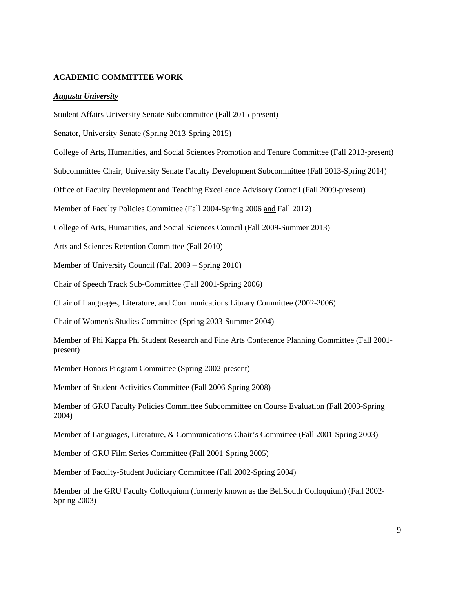### **ACADEMIC COMMITTEE WORK**

#### *Augusta University*

Student Affairs University Senate Subcommittee (Fall 2015-present)

Senator, University Senate (Spring 2013-Spring 2015)

College of Arts, Humanities, and Social Sciences Promotion and Tenure Committee (Fall 2013-present)

Subcommittee Chair, University Senate Faculty Development Subcommittee (Fall 2013-Spring 2014)

Office of Faculty Development and Teaching Excellence Advisory Council (Fall 2009-present)

Member of Faculty Policies Committee (Fall 2004-Spring 2006 and Fall 2012)

College of Arts, Humanities, and Social Sciences Council (Fall 2009-Summer 2013)

Arts and Sciences Retention Committee (Fall 2010)

Member of University Council (Fall 2009 – Spring 2010)

Chair of Speech Track Sub-Committee (Fall 2001-Spring 2006)

Chair of Languages, Literature, and Communications Library Committee (2002-2006)

Chair of Women's Studies Committee (Spring 2003-Summer 2004)

Member of Phi Kappa Phi Student Research and Fine Arts Conference Planning Committee (Fall 2001 present)

Member Honors Program Committee (Spring 2002-present)

Member of Student Activities Committee (Fall 2006-Spring 2008)

Member of GRU Faculty Policies Committee Subcommittee on Course Evaluation (Fall 2003-Spring 2004)

Member of Languages, Literature, & Communications Chair's Committee (Fall 2001-Spring 2003)

Member of GRU Film Series Committee (Fall 2001-Spring 2005)

Member of Faculty-Student Judiciary Committee (Fall 2002-Spring 2004)

Member of the GRU Faculty Colloquium (formerly known as the BellSouth Colloquium) (Fall 2002- Spring 2003)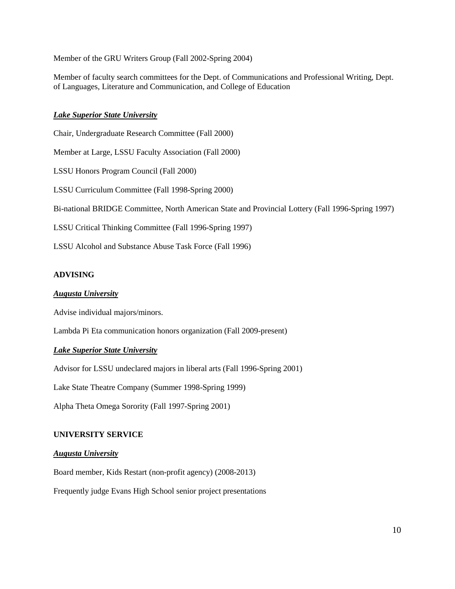Member of the GRU Writers Group (Fall 2002-Spring 2004)

Member of faculty search committees for the Dept. of Communications and Professional Writing, Dept. of Languages, Literature and Communication, and College of Education

## *Lake Superior State University*

Chair, Undergraduate Research Committee (Fall 2000) Member at Large, LSSU Faculty Association (Fall 2000) LSSU Honors Program Council (Fall 2000) LSSU Curriculum Committee (Fall 1998-Spring 2000) Bi-national BRIDGE Committee, North American State and Provincial Lottery (Fall 1996-Spring 1997) LSSU Critical Thinking Committee (Fall 1996-Spring 1997) LSSU Alcohol and Substance Abuse Task Force (Fall 1996)

## **ADVISING**

### *Augusta University*

Advise individual majors/minors.

Lambda Pi Eta communication honors organization (Fall 2009-present)

### *Lake Superior State University*

Advisor for LSSU undeclared majors in liberal arts (Fall 1996-Spring 2001)

Lake State Theatre Company (Summer 1998-Spring 1999)

Alpha Theta Omega Sorority (Fall 1997-Spring 2001)

### **UNIVERSITY SERVICE**

#### *Augusta University*

Board member, Kids Restart (non-profit agency) (2008-2013)

Frequently judge Evans High School senior project presentations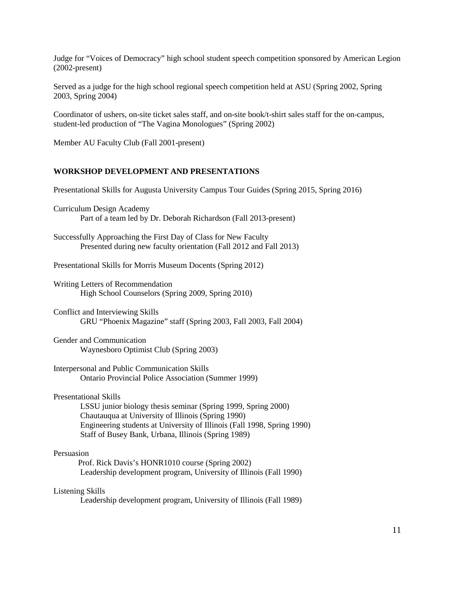Judge for "Voices of Democracy" high school student speech competition sponsored by American Legion (2002-present)

Served as a judge for the high school regional speech competition held at ASU (Spring 2002, Spring 2003, Spring 2004)

Coordinator of ushers, on-site ticket sales staff, and on-site book/t-shirt sales staff for the on-campus, student-led production of "The Vagina Monologues" (Spring 2002)

Member AU Faculty Club (Fall 2001-present)

## **WORKSHOP DEVELOPMENT AND PRESENTATIONS**

Presentational Skills for Augusta University Campus Tour Guides (Spring 2015, Spring 2016)

- Curriculum Design Academy Part of a team led by Dr. Deborah Richardson (Fall 2013-present)
- Successfully Approaching the First Day of Class for New Faculty Presented during new faculty orientation (Fall 2012 and Fall 2013)
- Presentational Skills for Morris Museum Docents (Spring 2012)
- Writing Letters of Recommendation High School Counselors (Spring 2009, Spring 2010)
- Conflict and Interviewing Skills GRU "Phoenix Magazine" staff (Spring 2003, Fall 2003, Fall 2004)
- Gender and Communication Waynesboro Optimist Club (Spring 2003)
- Interpersonal and Public Communication Skills Ontario Provincial Police Association (Summer 1999)
- Presentational Skills

LSSU junior biology thesis seminar (Spring 1999, Spring 2000) Chautauqua at University of Illinois (Spring 1990) Engineering students at University of Illinois (Fall 1998, Spring 1990) Staff of Busey Bank, Urbana, Illinois (Spring 1989)

#### Persuasion

 Prof. Rick Davis's HONR1010 course (Spring 2002) Leadership development program, University of Illinois (Fall 1990)

### Listening Skills

Leadership development program, University of Illinois (Fall 1989)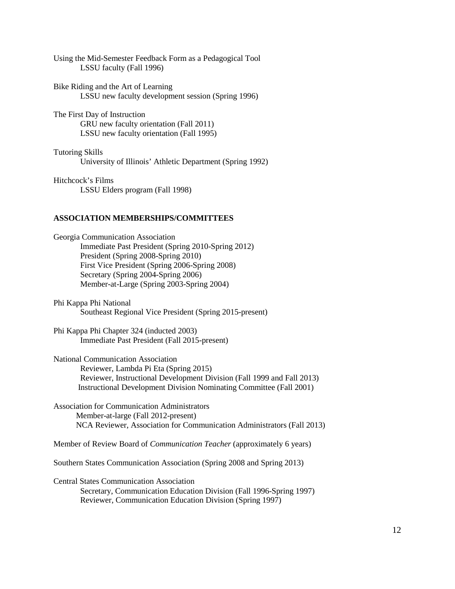| Using the Mid-Semester Feedback Form as a Pedagogical Tool |  |
|------------------------------------------------------------|--|
| LSSU faculty (Fall 1996)                                   |  |

Bike Riding and the Art of Learning LSSU new faculty development session (Spring 1996)

The First Day of Instruction GRU new faculty orientation (Fall 2011) LSSU new faculty orientation (Fall 1995)

Tutoring Skills University of Illinois' Athletic Department (Spring 1992)

Hitchcock's Films LSSU Elders program (Fall 1998)

#### **ASSOCIATION MEMBERSHIPS/COMMITTEES**

Georgia Communication Association Immediate Past President (Spring 2010-Spring 2012) President (Spring 2008-Spring 2010) First Vice President (Spring 2006-Spring 2008) Secretary (Spring 2004-Spring 2006) Member-at-Large (Spring 2003-Spring 2004)

Phi Kappa Phi National Southeast Regional Vice President (Spring 2015-present)

Phi Kappa Phi Chapter 324 (inducted 2003) Immediate Past President (Fall 2015-present)

National Communication Association Reviewer, Lambda Pi Eta (Spring 2015) Reviewer, Instructional Development Division (Fall 1999 and Fall 2013) Instructional Development Division Nominating Committee (Fall 2001)

Association for Communication Administrators Member-at-large (Fall 2012-present) NCA Reviewer, Association for Communication Administrators (Fall 2013)

Member of Review Board of *Communication Teacher* (approximately 6 years)

Southern States Communication Association (Spring 2008 and Spring 2013)

Central States Communication Association Secretary, Communication Education Division (Fall 1996-Spring 1997) Reviewer, Communication Education Division (Spring 1997)